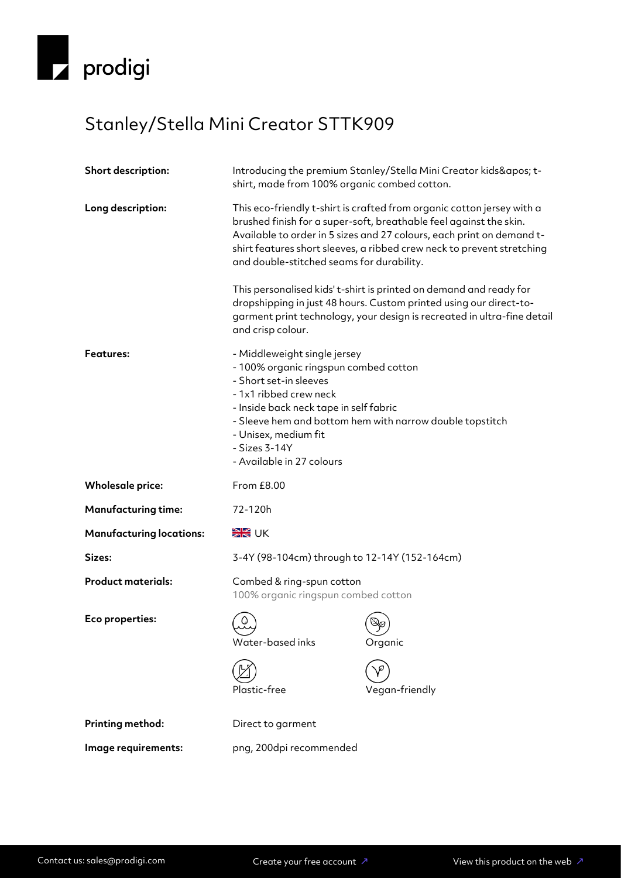

## Stanley/Stella Mini Creator STTK909

| Short description:              | Introducing the premium Stanley/Stella Mini Creator kids' t-<br>shirt, made from 100% organic combed cotton.                                                                                                                                                                                                                                                                                                                                                                                                                                                                             |                                              |
|---------------------------------|------------------------------------------------------------------------------------------------------------------------------------------------------------------------------------------------------------------------------------------------------------------------------------------------------------------------------------------------------------------------------------------------------------------------------------------------------------------------------------------------------------------------------------------------------------------------------------------|----------------------------------------------|
| Long description:               | This eco-friendly t-shirt is crafted from organic cotton jersey with a<br>brushed finish for a super-soft, breathable feel against the skin.<br>Available to order in 5 sizes and 27 colours, each print on demand t-<br>shirt features short sleeves, a ribbed crew neck to prevent stretching<br>and double-stitched seams for durability.<br>This personalised kids' t-shirt is printed on demand and ready for<br>dropshipping in just 48 hours. Custom printed using our direct-to-<br>garment print technology, your design is recreated in ultra-fine detail<br>and crisp colour. |                                              |
|                                 |                                                                                                                                                                                                                                                                                                                                                                                                                                                                                                                                                                                          |                                              |
| Features:                       | - Middleweight single jersey<br>- 100% organic ringspun combed cotton<br>- Short set-in sleeves<br>- 1x1 ribbed crew neck<br>- Inside back neck tape in self fabric<br>- Sleeve hem and bottom hem with narrow double topstitch<br>- Unisex, medium fit<br>- Sizes 3-14Y<br>- Available in 27 colours                                                                                                                                                                                                                                                                                    |                                              |
| <b>Wholesale price:</b>         | From £8.00                                                                                                                                                                                                                                                                                                                                                                                                                                                                                                                                                                               |                                              |
| <b>Manufacturing time:</b>      | 72-120h                                                                                                                                                                                                                                                                                                                                                                                                                                                                                                                                                                                  |                                              |
| <b>Manufacturing locations:</b> | <b>SK</b> UK                                                                                                                                                                                                                                                                                                                                                                                                                                                                                                                                                                             |                                              |
| Sizes:                          | 3-4Y (98-104cm) through to 12-14Y (152-164cm)                                                                                                                                                                                                                                                                                                                                                                                                                                                                                                                                            |                                              |
| <b>Product materials:</b>       | Combed & ring-spun cotton<br>100% organic ringspun combed cotton                                                                                                                                                                                                                                                                                                                                                                                                                                                                                                                         |                                              |
| Eco properties:                 | ٥<br>Water-based inks                                                                                                                                                                                                                                                                                                                                                                                                                                                                                                                                                                    | $\mathbb{Q}_{\!\mathscr{O}}$<br>エ<br>Organic |
|                                 | Plastic-free                                                                                                                                                                                                                                                                                                                                                                                                                                                                                                                                                                             | Vegan-friendly                               |
| Printing method:                | Direct to garment                                                                                                                                                                                                                                                                                                                                                                                                                                                                                                                                                                        |                                              |
| Image requirements:             | png, 200dpi recommended                                                                                                                                                                                                                                                                                                                                                                                                                                                                                                                                                                  |                                              |